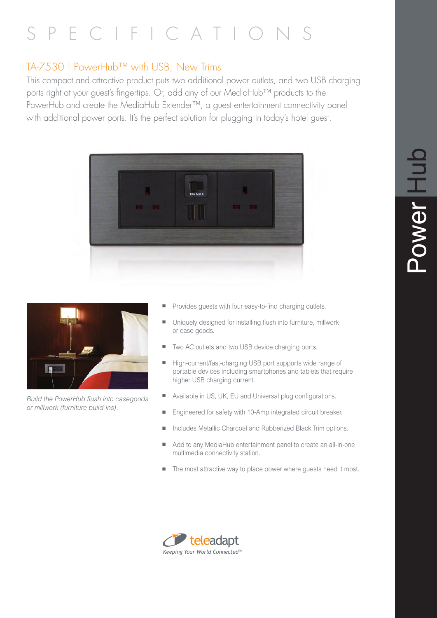# SPECIFICATIO

# TA-7530 | PowerHub™ with USB, New Trims

This compact and attractive product puts two additional power outlets, and two USB charging ports right at your guest's fingertips. Or, add any of our MediaHub™ products to the PowerHub and create the MediaHub Extender™, a guest entertainment connectivity panel with additional power ports. It's the perfect solution for plugging in today's hotel guest.





*Build the PowerHub flush into casegoods or millwork (furniture build-ins).*

- Provides guests with four easy-to-find charging outlets.
- Uniquely designed for installing flush into furniture, millwork or case goods.
- Two AC outlets and two USB device charging ports.
- High-current/fast-charging USB port supports wide range of portable devices including smartphones and tablets that require higher USB charging current.
- Available in US, UK, EU and Universal plug configurations.
- n Engineered for safety with 10-Amp integrated circuit breaker.
- Includes Metallic Charcoal and Rubberized Black Trim options.
- Add to any MediaHub entertainment panel to create an all-in-one multimedia connectivity station.
- The most attractive way to place power where guests need it most.